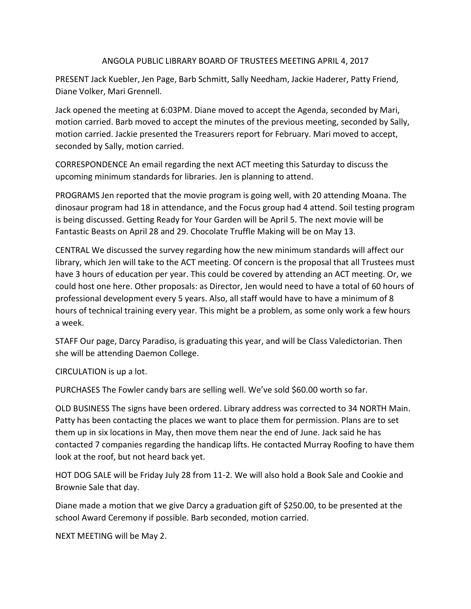## ANGOLA PUBLIC LIBRARY BOARD OF TRUSTEES MEETING APRIL 4, 2017

PRESENT Jack Kuebler, Jen Page, Barb Schmitt, Sally Needham, Jackie Haderer, Patty Friend, Diane Volker, Mari Grennell.

Jack opened the meeting at 6:03PM. Diane moved to accept the Agenda, seconded by Mari, motion carried. Barb moved to accept the minutes of the previous meeting, seconded by Sally, motion carried. Jackie presented the Treasurers report for February. Mari moved to accept, seconded by Sally, motion carried.

CORRESPONDENCE An email regarding the next ACT meeting this Saturday to discuss the upcoming minimum standards for libraries. Jen is planning to attend.

PROGRAMS Jen reported that the movie program is going well, with 20 attending Moana. The dinosaur program had 18 in attendance, and the Focus group had 4 attend. Soil testing program is being discussed. Getting Ready for Your Garden will be April 5. The next movie will be Fantastic Beasts on April 28 and 29. Chocolate Truffle Making will be on May 13.

CENTRAL We discussed the survey regarding how the new minimum standards will affect our library, which Jen will take to the ACT meeting. Of concern is the proposal that all Trustees must have 3 hours of education per year. This could be covered by attending an ACT meeting. Or, we could host one here. Other proposals: as Director, Jen would need to have a total of 60 hours of professional development every 5 years. Also, all staff would have to have a minimum of 8 hours of technical training every year. This might be a problem, as some only work a few hours a week.

STAFF Our page, Darcy Paradiso, is graduating this year, and will be Class Valedictorian. Then she will be attending Daemon College.

CIRCULATION is up a lot.

PURCHASES The Fowler candy bars are selling well. We've sold \$60.00 worth so far.

OLD BUSINESS The signs have been ordered. Library address was corrected to 34 NORTH Main. Patty has been contacting the places we want to place them for permission. Plans are to set them up in six locations in May, then move them near the end of June. Jack said he has contacted 7 companies regarding the handicap lifts. He contacted Murray Roofing to have them look at the roof, but not heard back yet.

HOT DOG SALE will be Friday July 28 from 11-2. We will also hold a Book Sale and Cookie and Brownie Sale that day.

Diane made a motion that we give Darcy a graduation gift of \$250.00, to be presented at the school Award Ceremony if possible. Barb seconded, motion carried.

NEXT MEETING will be May 2.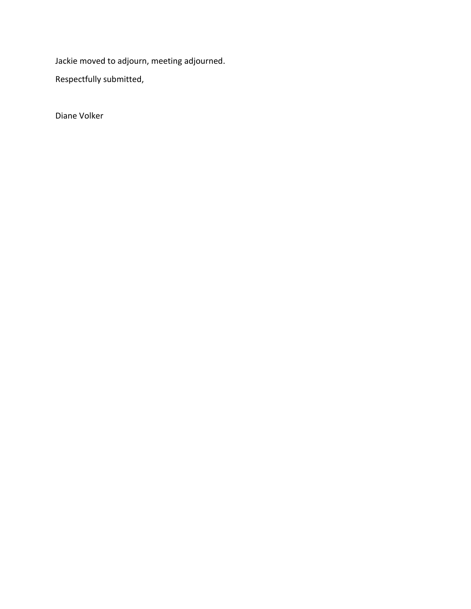Jackie moved to adjourn, meeting adjourned.

Respectfully submitted,

Diane Volker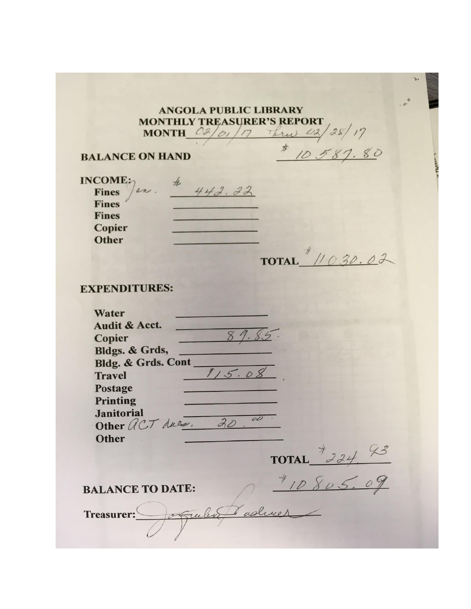## **ANGOLA PUBLIC LIBRARY MONTHLY TREASURER'S REPORT** MONTHLY TREASURER'S REPORT<br>MONTH 03/01/17 Thru 02/28/17<br>ON HAND  $\frac{\pi}{10587.80}$

## **BALANCE ON HAND**

| INCOME:<br>an.               | 22 |              |
|------------------------------|----|--------------|
| <b>Fines</b><br><b>Fines</b> |    |              |
| <b>Fines</b>                 |    |              |
| <b>Copier</b>                |    |              |
| Other                        |    |              |
|                              |    |              |
|                              |    | <b>TOTAL</b> |

## **EXPENDITURES:**

| Water                         |                           |
|-------------------------------|---------------------------|
| Audit & Acct.                 |                           |
|                               |                           |
| Copier                        |                           |
| Bldgs. & Grds,                |                           |
| <b>Bldg. &amp; Grds. Cont</b> |                           |
| <b>Travel</b>                 | 1.5                       |
| Postage                       |                           |
| <b>Printing</b>               |                           |
| <b>Janitorial</b>             |                           |
| Other ACT dues.               | $\mathcal{O} \mathcal{O}$ |
|                               |                           |
| <b>Other</b>                  |                           |
|                               | $\mathcal{Z}_{\epsilon}$  |
|                               | <b>TOTAL</b>              |
|                               |                           |
| <b>BALANCE TO DATE:</b>       |                           |
|                               |                           |
|                               |                           |
| <b>Treasurer:</b><br>721      |                           |
|                               |                           |
|                               |                           |